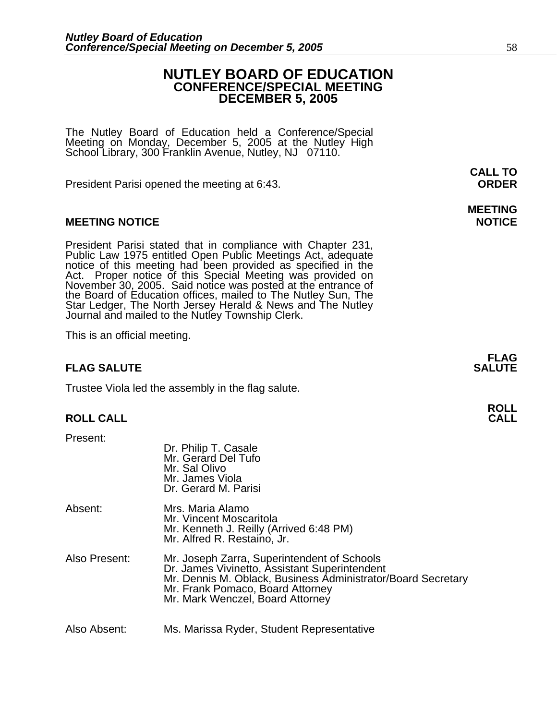# **NUTLEY BOARD OF EDUCATION CONFERENCE/SPECIAL MEETING DECEMBER 5, 2005**

The Nutley Board of Education held a Conference/Special Meeting on Monday, December 5, 2005 at the Nutley High School Library, 300 Franklin Avenue, Nutley, NJ 07110.

 **CALL TO**  President Parisi opened the meeting at 6:43. **ORDER**

# **MEETING NOTICE NOTICE AND INSTRUCCE**

President Parisi stated that in compliance with Chapter 231,<br>Public Law 1975 entitled Open Public Meetings Act, adequate<br>notice of this meeting had been provided as specified in the<br>Act. Proper notice of this Special Meeti

This is an official meeting.

# **FLAG SALUTE** SALUTE

Trustee Viola led the assembly in the flag salute.

# **ROLL CALL**

Present:

|               | Dr. Philip T. Casale<br>Mr. Gerard Del Tufo<br>Mr. Sal Olivo<br>Mr. James Viola<br>Dr. Gerard M. Parisi                                                                                                                              |
|---------------|--------------------------------------------------------------------------------------------------------------------------------------------------------------------------------------------------------------------------------------|
| Absent:       | Mrs. Maria Alamo<br>Mr. Vincent Moscaritola<br>Mr. Kenneth J. Reilly (Arrived 6:48 PM)<br>Mr. Alfred R. Restaino, Jr.                                                                                                                |
| Also Present: | Mr. Joseph Zarra, Superintendent of Schools<br>Dr. James Vivinetto, Assistant Superintendent<br>Mr. Dennis M. Oblack, Business Administrator/Board Secretary<br>Mr. Frank Pomaco, Board Attorney<br>Mr. Mark Wenczel, Board Attorney |
| Also Absent:  | Ms. Marissa Ryder, Student Representative                                                                                                                                                                                            |

# **MEETING**

**FLAG**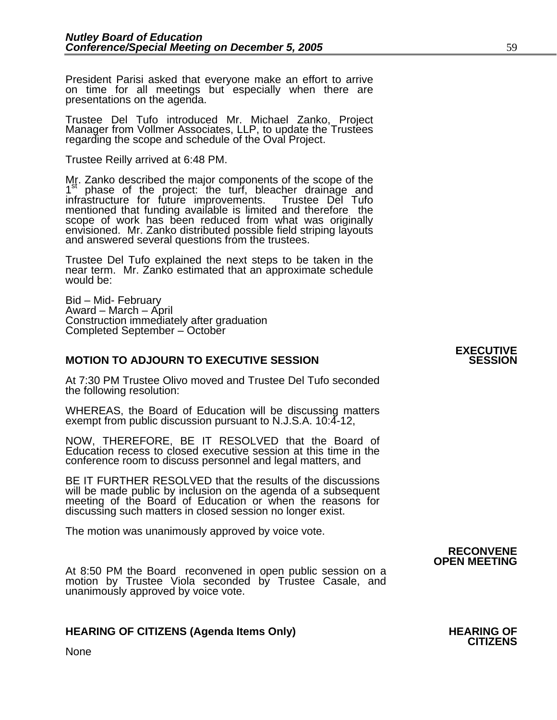President Parisi asked that everyone make an effort to arrive on time for all meetings but especially when there are presentations on the agenda.

Trustee Del Tufo introduced Mr. Michael Zanko, Project Manager from Vollmer Associates, LLP, to update the Trustees regarding the scope and schedule of the Oval Project.

Trustee Reilly arrived at 6:48 PM.

Mr. Zanko described the major components of the scope of the  $1<sup>st</sup>$  phase of the project: the turf, bleacher drainage and infrastructure for future improvements. Trustee Del Tufo mentioned that funding available is limited and therefore the scope of work has been reduced from what was originally envisioned. Mr. Zanko distributed possible field striping layouts and answered several questions from the trustees.

Trustee Del Tufo explained the next steps to be taken in the near term. Mr. Zanko estimated that an approximate schedule would be:

Bid – Mid- February Award – March – April Construction immediately after graduation Completed September – October

# **MOTION TO ADJOURN TO EXECUTIVE SESSION**

At 7:30 PM Trustee Olivo moved and Trustee Del Tufo seconded the following resolution:

WHEREAS, the Board of Education will be discussing matters exempt from public discussion pursuant to N.J.S.A. 10:4-12,

NOW, THEREFORE, BE IT RESOLVED that the Board of Education recess to closed executive session at this time in the conference room to discuss personnel and legal matters, and

BE IT FURTHER RESOLVED that the results of the discussions will be made public by inclusion on the agenda of a subsequent meeting of the Board of Education or when the reasons for discussing such matters in closed session no longer exist.

 The motion was unanimously approved by voice vote.

At 8:50 PM the Board reconvened in open public session on a motion by Trustee Viola seconded by Trustee Casale, and unanimously approved by voice vote.

# **HEARING OF CITIZENS (Agenda Items Only) HEARING OF CITIZENS**

# **RECONVENE OPEN MEETING**

None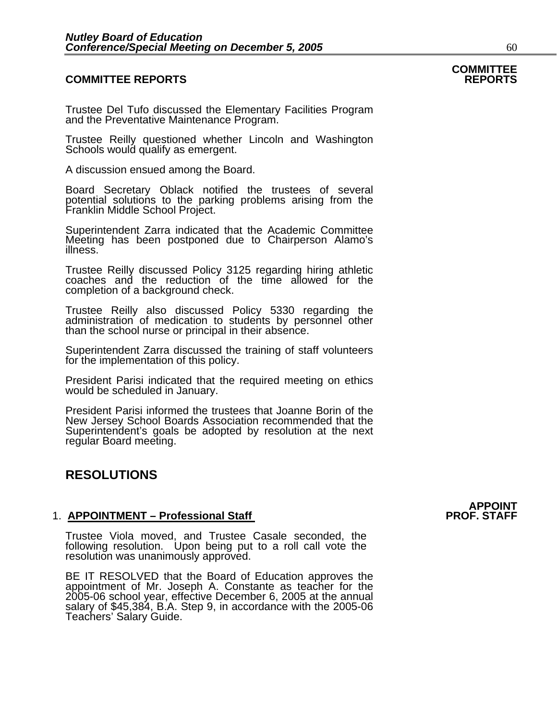### **COMMITTEE REPORTS REPORTS**

Trustee Del Tufo discussed the Elementary Facilities Program and the Preventative Maintenance Program.

Trustee Reilly questioned whether Lincoln and Washington Schools would qualify as emergent.

A discussion ensued among the Board.

Board Secretary Oblack notified the trustees of several potential solutions to the parking problems arising from the Franklin Middle School Project.

Superintendent Zarra indicated that the Academic Committee Meeting has been postponed due to Chairperson Alamo's illness.

Trustee Reilly discussed Policy 3125 regarding hiring athletic coaches and the reduction of the time allowed for the completion of a background check.

Trustee Reilly also discussed Policy 5330 regarding the administration of medication to students by personnel other than the school nurse or principal in their absence.

Superintendent Zarra discussed the training of staff volunteers for the implementation of this policy.

President Parisi indicated that the required meeting on ethics would be scheduled in January.

President Parisi informed the trustees that Joanne Borin of the New Jersey School Boards Association recommended that the Superintendent's goals be adopted by resolution at the next regular Board meeting.

# **RESOLUTIONS**

#### 1. **APPOINTMENT – Professional Staff**

Trustee Viola moved, and Trustee Casale seconded, the following resolution. Upon being put to a roll call vote the resolution was unanimously approved.

BE IT RESOLVED that the Board of Education approves the appointment of Mr. Joseph A. Constante as teacher for the 2005-06 school year, effective December 6, 2005 at the annual salary of \$45,384, B.A. Step 9, in accordance Teachers' Salary Guide.

# APPOINT<br>PROF. STAFF

**COMMITTEE**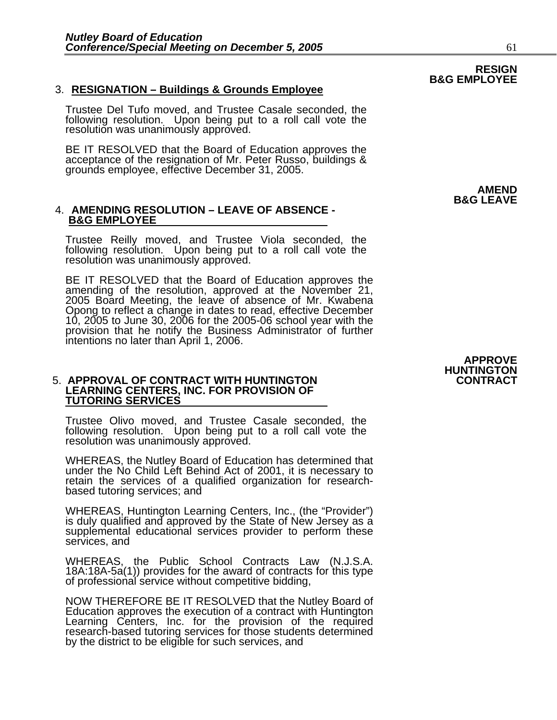### 3. **RESIGNATION – Buildings & Grounds Employee**

Trustee Del Tufo moved, and Trustee Casale seconded, the following resolution. Upon being put to a roll call vote the resolution was unanimously approved.

BE IT RESOLVED that the Board of Education approves the acceptance of the resignation of Mr. Peter Russo, buildings & grounds employee, effective December 31, 2005.

#### 4. **AMENDING RESOLUTION – LEAVE OF ABSENCE - B&G EMPLOYEE**

Trustee Reilly moved, and Trustee Viola seconded, the following resolution. Upon being put to a roll call vote the resolution was unanimously approved.

BE IT RESOLVED that the Board of Education approves the amending of the resolution, approved at the November 21, 2005 Board Meeting, the leave of absence of Mr. Kwabena Opong to reflect a change in dates to read, effective December 10, 2005 to June 30, 2006 for the 2005-06 school year with the 10, 2005 to June 30, 2006 for the 2005-06 school year with the provision that he notify the Business Administrator of further intentions no later than April 1, 2006.

#### **5. APPROVAL OF CONTRACT WITH HUNTINGTON LEARNING CENTERS, INC. FOR PROVISION OF TUTORING SERVICES**

Trustee Olivo moved, and Trustee Casale seconded, the following resolution. Upon being put to a roll call vote the resolution was unanimously approved.

WHEREAS, the Nutley Board of Education has determined that under the No Child Left Behind Act of 2001, it is necessary to retain the services of a qualified organization for research-<br>based tutoring services; and

WHEREAS, Huntington Learning Centers, Inc., (the "Provider") is duly qualified and approved by the State of New Jersey as a supplemental educational services provider to perform these services, and

WHEREAS, the Public School Contracts Law (N.J.S.A. 18A:18A-5a(1)) provides for the award of contracts for this type of professional service without competitive bidding,

NOW THEREFORE BE IT RESOLVED that the Nutley Board of<br>Education approves the execution of a contract with Huntington<br>Learning Centers, Inc. for the provision of the required<br>research-based tutoring services for those stude by the district to be eligible for such services, and

# **APPROVE HUNTINGTON**

# **RESIGN B&G EMPLOYEE**

 **AMEND B&G LEAVE**